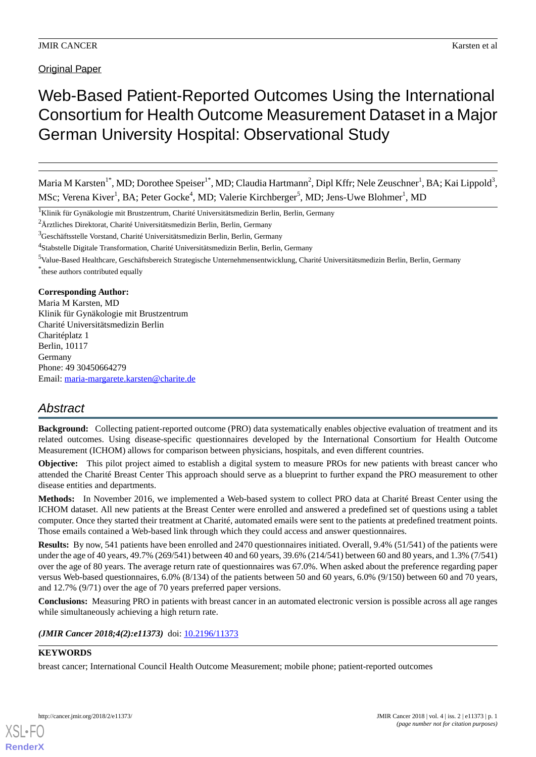# Web-Based Patient-Reported Outcomes Using the International Consortium for Health Outcome Measurement Dataset in a Major German University Hospital: Observational Study

Maria M Karsten<sup>1\*</sup>, MD; Dorothee Speiser<sup>1\*</sup>, MD; Claudia Hartmann<sup>2</sup>, Dipl Kffr; Nele Zeuschner<sup>1</sup>, BA; Kai Lippold<sup>3</sup>, MSc; Verena Kiver<sup>1</sup>, BA; Peter Gocke<sup>4</sup>, MD; Valerie Kirchberger<sup>5</sup>, MD; Jens-Uwe Blohmer<sup>1</sup>, MD

<sup>1</sup>Klinik für Gynäkologie mit Brustzentrum, Charité Universitätsmedizin Berlin, Berlin, Germany

<sup>2</sup>Ärztliches Direktorat, Charité Universitätsmedizin Berlin, Berlin, Germany

<sup>3</sup>Geschäftsstelle Vorstand, Charité Universitätsmedizin Berlin, Berlin, Germany

<sup>4</sup>Stabstelle Digitale Transformation, Charité Universitätsmedizin Berlin, Berlin, Germany

<sup>5</sup>Value-Based Healthcare, Geschäftsbereich Strategische Unternehmensentwicklung, Charité Universitätsmedizin Berlin, Berlin, Germany

\* these authors contributed equally

#### **Corresponding Author:**

Maria M Karsten, MD Klinik für Gynäkologie mit Brustzentrum Charité Universitätsmedizin Berlin Charitéplatz 1 Berlin, 10117 Germany Phone: 49 30450664279 Email: [maria-margarete.karsten@charite.de](mailto:maria-margarete.karsten@charite.de)

# *Abstract*

**Background:** Collecting patient-reported outcome (PRO) data systematically enables objective evaluation of treatment and its related outcomes. Using disease-specific questionnaires developed by the International Consortium for Health Outcome Measurement (ICHOM) allows for comparison between physicians, hospitals, and even different countries.

**Objective:** This pilot project aimed to establish a digital system to measure PROs for new patients with breast cancer who attended the Charité Breast Center This approach should serve as a blueprint to further expand the PRO measurement to other disease entities and departments.

**Methods:** In November 2016, we implemented a Web-based system to collect PRO data at Charité Breast Center using the ICHOM dataset. All new patients at the Breast Center were enrolled and answered a predefined set of questions using a tablet computer. Once they started their treatment at Charité, automated emails were sent to the patients at predefined treatment points. Those emails contained a Web-based link through which they could access and answer questionnaires.

**Results:** By now, 541 patients have been enrolled and 2470 questionnaires initiated. Overall, 9.4% (51/541) of the patients were under the age of 40 years, 49.7% (269/541) between 40 and 60 years, 39.6% (214/541) between 60 and 80 years, and 1.3% (7/541) over the age of 80 years. The average return rate of questionnaires was 67.0%. When asked about the preference regarding paper versus Web-based questionnaires, 6.0% (8/134) of the patients between 50 and 60 years, 6.0% (9/150) between 60 and 70 years, and 12.7% (9/71) over the age of 70 years preferred paper versions.

**Conclusions:** Measuring PRO in patients with breast cancer in an automated electronic version is possible across all age ranges while simultaneously achieving a high return rate.

#### (JMIR Cancer 2018;4(2):e11373) doi: [10.2196/11373](http://dx.doi.org/10.2196/11373)

# **KEYWORDS**

breast cancer; International Council Health Outcome Measurement; mobile phone; patient-reported outcomes



**[RenderX](http://www.renderx.com/)**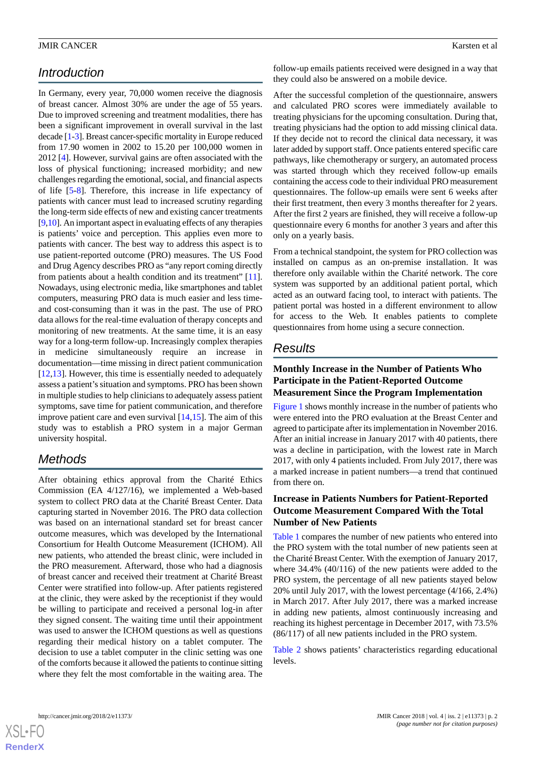# *Introduction*

In Germany, every year, 70,000 women receive the diagnosis of breast cancer. Almost 30% are under the age of 55 years. Due to improved screening and treatment modalities, there has been a significant improvement in overall survival in the last decade [[1-](#page-5-0)[3\]](#page-5-1). Breast cancer-specific mortality in Europe reduced from 17.90 women in 2002 to 15.20 per 100,000 women in 2012 [\[4](#page-5-2)]. However, survival gains are often associated with the loss of physical functioning; increased morbidity; and new challenges regarding the emotional, social, and financial aspects of life [[5-](#page-5-3)[8](#page-5-4)]. Therefore, this increase in life expectancy of patients with cancer must lead to increased scrutiny regarding the long-term side effects of new and existing cancer treatments [[9,](#page-5-5)[10\]](#page-5-6). An important aspect in evaluating effects of any therapies is patients' voice and perception. This applies even more to patients with cancer. The best way to address this aspect is to use patient-reported outcome (PRO) measures. The US Food and Drug Agency describes PRO as "any report coming directly from patients about a health condition and its treatment" [[11\]](#page-5-7). Nowadays, using electronic media, like smartphones and tablet computers, measuring PRO data is much easier and less timeand cost-consuming than it was in the past. The use of PRO data allows for the real-time evaluation of therapy concepts and monitoring of new treatments. At the same time, it is an easy way for a long-term follow-up. Increasingly complex therapies in medicine simultaneously require an increase in documentation—time missing in direct patient communication [[12](#page-5-8)[,13](#page-5-9)]. However, this time is essentially needed to adequately assess a patient's situation and symptoms. PRO has been shown in multiple studies to help clinicians to adequately assess patient symptoms, save time for patient communication, and therefore improve patient care and even survival [[14](#page-6-0)[,15](#page-6-1)]. The aim of this study was to establish a PRO system in a major German university hospital.

# *Methods*

After obtaining ethics approval from the Charité Ethics Commission (EA 4/127/16), we implemented a Web-based system to collect PRO data at the Charité Breast Center. Data capturing started in November 2016. The PRO data collection was based on an international standard set for breast cancer outcome measures, which was developed by the International Consortium for Health Outcome Measurement (ICHOM). All new patients, who attended the breast clinic, were included in the PRO measurement. Afterward, those who had a diagnosis of breast cancer and received their treatment at Charité Breast Center were stratified into follow-up. After patients registered at the clinic, they were asked by the receptionist if they would be willing to participate and received a personal log-in after they signed consent. The waiting time until their appointment was used to answer the ICHOM questions as well as questions regarding their medical history on a tablet computer. The decision to use a tablet computer in the clinic setting was one of the comforts because it allowed the patients to continue sitting where they felt the most comfortable in the waiting area. The

follow-up emails patients received were designed in a way that they could also be answered on a mobile device.

After the successful completion of the questionnaire, answers and calculated PRO scores were immediately available to treating physicians for the upcoming consultation. During that, treating physicians had the option to add missing clinical data. If they decide not to record the clinical data necessary, it was later added by support staff. Once patients entered specific care pathways, like chemotherapy or surgery, an automated process was started through which they received follow-up emails containing the access code to their individual PRO measurement questionnaires. The follow-up emails were sent 6 weeks after their first treatment, then every 3 months thereafter for 2 years. After the first 2 years are finished, they will receive a follow-up questionnaire every 6 months for another 3 years and after this only on a yearly basis.

From a technical standpoint, the system for PRO collection was installed on campus as an on-premise installation. It was therefore only available within the Charité network. The core system was supported by an additional patient portal, which acted as an outward facing tool, to interact with patients. The patient portal was hosted in a different environment to allow for access to the Web. It enables patients to complete questionnaires from home using a secure connection.

# *Results*

## **Monthly Increase in the Number of Patients Who Participate in the Patient-Reported Outcome Measurement Since the Program Implementation**

[Figure 1](#page-2-0) shows monthly increase in the number of patients who were entered into the PRO evaluation at the Breast Center and agreed to participate after its implementation in November 2016. After an initial increase in January 2017 with 40 patients, there was a decline in participation, with the lowest rate in March 2017, with only 4 patients included. From July 2017, there was a marked increase in patient numbers—a trend that continued from there on.

### **Increase in Patients Numbers for Patient-Reported Outcome Measurement Compared With the Total Number of New Patients**

[Table 1](#page-2-1) compares the number of new patients who entered into the PRO system with the total number of new patients seen at the Charité Breast Center. With the exemption of January 2017, where 34.4% (40/116) of the new patients were added to the PRO system, the percentage of all new patients stayed below 20% until July 2017, with the lowest percentage (4/166, 2.4%) in March 2017. After July 2017, there was a marked increase in adding new patients, almost continuously increasing and reaching its highest percentage in December 2017, with 73.5% (86/117) of all new patients included in the PRO system.

[Table 2](#page-2-2) shows patients' characteristics regarding educational levels.

 $XS$  $\cdot$ FC **[RenderX](http://www.renderx.com/)**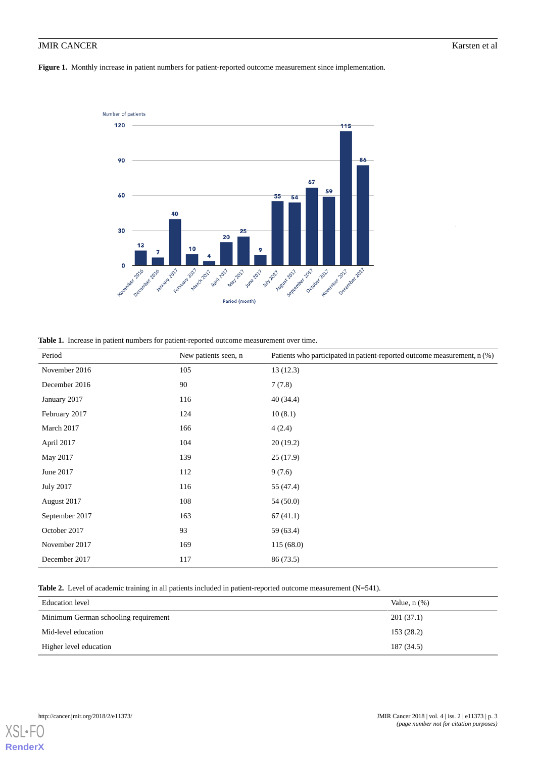<span id="page-2-0"></span>**Figure 1.** Monthly increase in patient numbers for patient-reported outcome measurement since implementation.



<span id="page-2-1"></span>**Table 1.** Increase in patient numbers for patient-reported outcome measurement over time.

| Period         | New patients seen, n | Patients who participated in patient-reported outcome measurement, n (%) |
|----------------|----------------------|--------------------------------------------------------------------------|
| November 2016  | 105                  | 13(12.3)                                                                 |
| December 2016  | 90                   | 7(7.8)                                                                   |
| January 2017   | 116                  | 40(34.4)                                                                 |
| February 2017  | 124                  | 10(8.1)                                                                  |
| March 2017     | 166                  | 4(2.4)                                                                   |
| April 2017     | 104                  | 20(19.2)                                                                 |
| May 2017       | 139                  | 25(17.9)                                                                 |
| June 2017      | 112                  | 9(7.6)                                                                   |
| July 2017      | 116                  | 55 (47.4)                                                                |
| August 2017    | 108                  | 54(50.0)                                                                 |
| September 2017 | 163                  | 67(41.1)                                                                 |
| October 2017   | 93                   | 59 (63.4)                                                                |
| November 2017  | 169                  | 115 (68.0)                                                               |
| December 2017  | 117                  | 86 (73.5)                                                                |

<span id="page-2-2"></span>**Table 2.** Level of academic training in all patients included in patient-reported outcome measurement (N=541).

| Education level                      | Value, $n$ $(\%)$ |
|--------------------------------------|-------------------|
| Minimum German schooling requirement | 201(37.1)         |
| Mid-level education                  | 153(28.2)         |
| Higher level education               | 187 (34.5)        |

[XSL](http://www.w3.org/Style/XSL)• **[RenderX](http://www.renderx.com/)**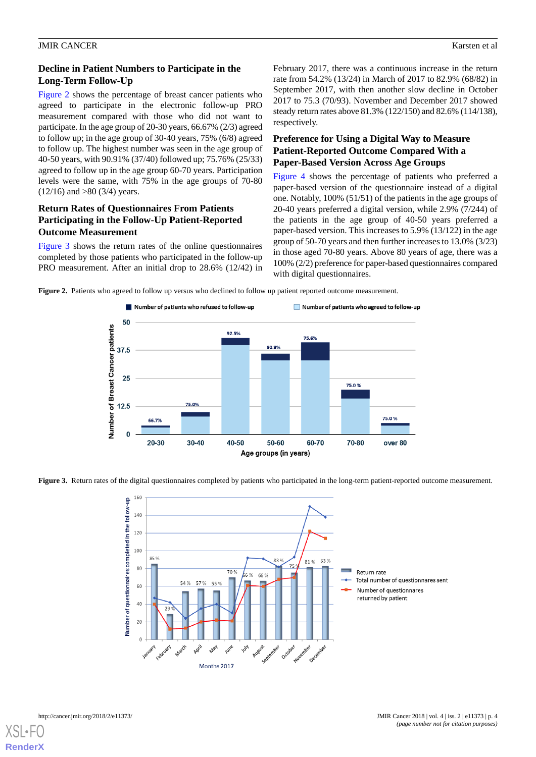## **Decline in Patient Numbers to Participate in the Long-Term Follow-Up**

[Figure 2](#page-3-0) shows the percentage of breast cancer patients who agreed to participate in the electronic follow-up PRO measurement compared with those who did not want to participate. In the age group of 20-30 years, 66.67% (2/3) agreed to follow up; in the age group of 30-40 years, 75% (6/8) agreed to follow up. The highest number was seen in the age group of 40-50 years, with 90.91% (37/40) followed up; 75.76% (25/33) agreed to follow up in the age group 60-70 years. Participation levels were the same, with 75% in the age groups of 70-80  $(12/16)$  and  $>80$   $(3/4)$  years.

### **Return Rates of Questionnaires From Patients Participating in the Follow-Up Patient-Reported Outcome Measurement**

<span id="page-3-0"></span>[Figure 3](#page-3-1) shows the return rates of the online questionnaires completed by those patients who participated in the follow-up PRO measurement. After an initial drop to 28.6% (12/42) in February 2017, there was a continuous increase in the return rate from 54.2% (13/24) in March of 2017 to 82.9% (68/82) in September 2017, with then another slow decline in October 2017 to 75.3 (70/93). November and December 2017 showed steady return rates above 81.3% (122/150) and 82.6% (114/138), respectively.

## **Preference for Using a Digital Way to Measure Patient-Reported Outcome Compared With a Paper-Based Version Across Age Groups**

[Figure 4](#page-4-0) shows the percentage of patients who preferred a paper-based version of the questionnaire instead of a digital one. Notably, 100% (51/51) of the patients in the age groups of 20-40 years preferred a digital version, while 2.9% (7/244) of the patients in the age group of 40-50 years preferred a paper-based version. This increases to 5.9% (13/122) in the age group of 50-70 years and then further increases to 13.0% (3/23) in those aged 70-80 years. Above 80 years of age, there was a 100% (2/2) preference for paper-based questionnaires compared with digital questionnaires.

**Figure 2.** Patients who agreed to follow up versus who declined to follow up patient reported outcome measurement.



<span id="page-3-1"></span>**Figure 3.** Return rates of the digital questionnaires completed by patients who participated in the long-term patient-reported outcome measurement.



**[RenderX](http://www.renderx.com/)**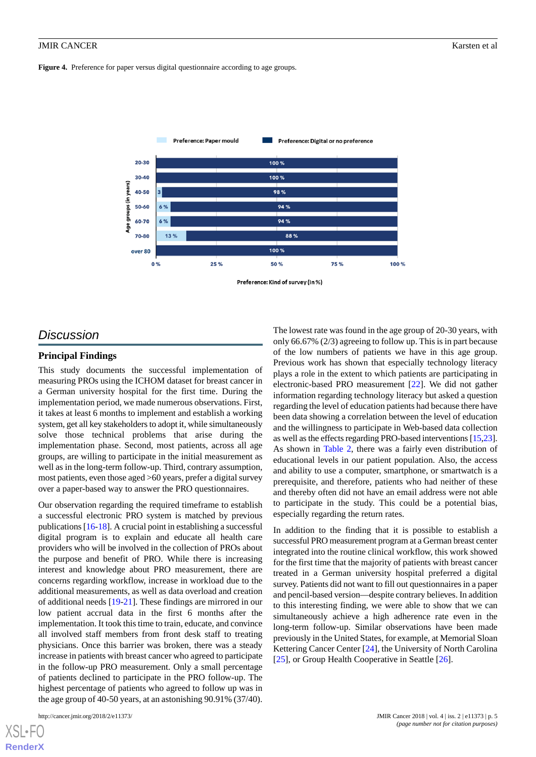<span id="page-4-0"></span>Figure 4. Preference for paper versus digital questionnaire according to age groups.



# *Discussion*

#### **Principal Findings**

This study documents the successful implementation of measuring PROs using the ICHOM dataset for breast cancer in a German university hospital for the first time. During the implementation period, we made numerous observations. First, it takes at least 6 months to implement and establish a working system, get all key stakeholders to adopt it, while simultaneously solve those technical problems that arise during the implementation phase. Second, most patients, across all age groups, are willing to participate in the initial measurement as well as in the long-term follow-up. Third, contrary assumption, most patients, even those aged >60 years, prefer a digital survey over a paper-based way to answer the PRO questionnaires.

Our observation regarding the required timeframe to establish a successful electronic PRO system is matched by previous publications [[16-](#page-6-2)[18\]](#page-6-3). A crucial point in establishing a successful digital program is to explain and educate all health care providers who will be involved in the collection of PROs about the purpose and benefit of PRO. While there is increasing interest and knowledge about PRO measurement, there are concerns regarding workflow, increase in workload due to the additional measurements, as well as data overload and creation of additional needs [[19](#page-6-4)[-21](#page-6-5)]. These findings are mirrored in our low patient accrual data in the first 6 months after the implementation. It took this time to train, educate, and convince all involved staff members from front desk staff to treating physicians. Once this barrier was broken, there was a steady increase in patients with breast cancer who agreed to participate in the follow-up PRO measurement. Only a small percentage of patients declined to participate in the PRO follow-up. The highest percentage of patients who agreed to follow up was in the age group of 40-50 years, at an astonishing 90.91% (37/40).

[XSL](http://www.w3.org/Style/XSL)•FO **[RenderX](http://www.renderx.com/)**

The lowest rate was found in the age group of 20-30 years, with only 66.67% (2/3) agreeing to follow up. This is in part because of the low numbers of patients we have in this age group. Previous work has shown that especially technology literacy plays a role in the extent to which patients are participating in electronic-based PRO measurement [\[22](#page-6-6)]. We did not gather information regarding technology literacy but asked a question regarding the level of education patients had because there have been data showing a correlation between the level of education and the willingness to participate in Web-based data collection as well as the effects regarding PRO-based interventions [\[15](#page-6-1)[,23](#page-6-7)]. As shown in [Table 2](#page-2-2), there was a fairly even distribution of educational levels in our patient population. Also, the access and ability to use a computer, smartphone, or smartwatch is a prerequisite, and therefore, patients who had neither of these and thereby often did not have an email address were not able to participate in the study. This could be a potential bias, especially regarding the return rates.

In addition to the finding that it is possible to establish a successful PRO measurement program at a German breast center integrated into the routine clinical workflow, this work showed for the first time that the majority of patients with breast cancer treated in a German university hospital preferred a digital survey. Patients did not want to fill out questionnaires in a paper and pencil-based version—despite contrary believes. In addition to this interesting finding, we were able to show that we can simultaneously achieve a high adherence rate even in the long-term follow-up. Similar observations have been made previously in the United States, for example, at Memorial Sloan Kettering Cancer Center [[24\]](#page-6-8), the University of North Carolina [[25\]](#page-6-9), or Group Health Cooperative in Seattle [[26\]](#page-6-10).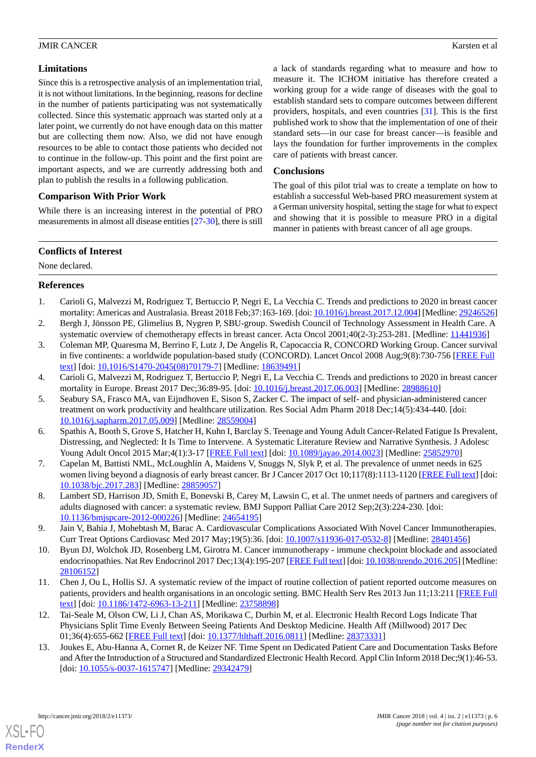#### **Limitations**

Since this is a retrospective analysis of an implementation trial, it is not without limitations. In the beginning, reasons for decline in the number of patients participating was not systematically collected. Since this systematic approach was started only at a later point, we currently do not have enough data on this matter but are collecting them now. Also, we did not have enough resources to be able to contact those patients who decided not to continue in the follow-up. This point and the first point are important aspects, and we are currently addressing both and plan to publish the results in a following publication.

## **Comparison With Prior Work**

While there is an increasing interest in the potential of PRO measurements in almost all disease entities [[27-](#page-6-11)[30\]](#page-6-12), there is still a lack of standards regarding what to measure and how to measure it. The ICHOM initiative has therefore created a working group for a wide range of diseases with the goal to establish standard sets to compare outcomes between different providers, hospitals, and even countries [\[31](#page-6-13)]. This is the first published work to show that the implementation of one of their standard sets—in our case for breast cancer—is feasible and lays the foundation for further improvements in the complex care of patients with breast cancer.

#### **Conclusions**

The goal of this pilot trial was to create a template on how to establish a successful Web-based PRO measurement system at a German university hospital, setting the stage for what to expect and showing that it is possible to measure PRO in a digital manner in patients with breast cancer of all age groups.

#### **Conflicts of Interest**

<span id="page-5-0"></span>None declared.

#### **References**

- <span id="page-5-1"></span>1. Carioli G, Malvezzi M, Rodriguez T, Bertuccio P, Negri E, La Vecchia C. Trends and predictions to 2020 in breast cancer mortality: Americas and Australasia. Breast 2018 Feb;37:163-169. [doi: [10.1016/j.breast.2017.12.004\]](http://dx.doi.org/10.1016/j.breast.2017.12.004) [Medline: [29246526\]](http://www.ncbi.nlm.nih.gov/entrez/query.fcgi?cmd=Retrieve&db=PubMed&list_uids=29246526&dopt=Abstract)
- 2. Bergh J, Jönsson PE, Glimelius B, Nygren P, SBU-group. Swedish Council of Technology Assessment in Health Care. A systematic overview of chemotherapy effects in breast cancer. Acta Oncol 2001;40(2-3):253-281. [Medline: [11441936](http://www.ncbi.nlm.nih.gov/entrez/query.fcgi?cmd=Retrieve&db=PubMed&list_uids=11441936&dopt=Abstract)]
- <span id="page-5-3"></span><span id="page-5-2"></span>3. Coleman MP, Quaresma M, Berrino F, Lutz J, De Angelis R, Capocaccia R, CONCORD Working Group. Cancer survival in five continents: a worldwide population-based study (CONCORD). Lancet Oncol 2008 Aug;9(8):730-756 [[FREE Full](https://linkinghub.elsevier.com/retrieve/pii/S1470-2045(08)70179-7) [text](https://linkinghub.elsevier.com/retrieve/pii/S1470-2045(08)70179-7)] [doi: [10.1016/S1470-2045\(08\)70179-7\]](http://dx.doi.org/10.1016/S1470-2045(08)70179-7) [Medline: [18639491](http://www.ncbi.nlm.nih.gov/entrez/query.fcgi?cmd=Retrieve&db=PubMed&list_uids=18639491&dopt=Abstract)]
- 4. Carioli G, Malvezzi M, Rodriguez T, Bertuccio P, Negri E, La Vecchia C. Trends and predictions to 2020 in breast cancer mortality in Europe. Breast 2017 Dec;36:89-95. [doi: [10.1016/j.breast.2017.06.003\]](http://dx.doi.org/10.1016/j.breast.2017.06.003) [Medline: [28988610](http://www.ncbi.nlm.nih.gov/entrez/query.fcgi?cmd=Retrieve&db=PubMed&list_uids=28988610&dopt=Abstract)]
- 5. Seabury SA, Frasco MA, van Eijndhoven E, Sison S, Zacker C. The impact of self- and physician-administered cancer treatment on work productivity and healthcare utilization. Res Social Adm Pharm 2018 Dec;14(5):434-440. [doi: [10.1016/j.sapharm.2017.05.009\]](http://dx.doi.org/10.1016/j.sapharm.2017.05.009) [Medline: [28559004](http://www.ncbi.nlm.nih.gov/entrez/query.fcgi?cmd=Retrieve&db=PubMed&list_uids=28559004&dopt=Abstract)]
- <span id="page-5-4"></span>6. Spathis A, Booth S, Grove S, Hatcher H, Kuhn I, Barclay S. Teenage and Young Adult Cancer-Related Fatigue Is Prevalent, Distressing, and Neglected: It Is Time to Intervene. A Systematic Literature Review and Narrative Synthesis. J Adolesc Young Adult Oncol 2015 Mar;4(1):3-17 [[FREE Full text](http://europepmc.org/abstract/MED/25852970)] [doi: [10.1089/jayao.2014.0023](http://dx.doi.org/10.1089/jayao.2014.0023)] [Medline: [25852970](http://www.ncbi.nlm.nih.gov/entrez/query.fcgi?cmd=Retrieve&db=PubMed&list_uids=25852970&dopt=Abstract)]
- <span id="page-5-5"></span>7. Capelan M, Battisti NML, McLoughlin A, Maidens V, Snuggs N, Slyk P, et al. The prevalence of unmet needs in 625 women living beyond a diagnosis of early breast cancer. Br J Cancer 2017 Oct 10;117(8):1113-1120 [[FREE Full text](http://dx.doi.org/10.1038/bjc.2017.283)] [doi: [10.1038/bjc.2017.283](http://dx.doi.org/10.1038/bjc.2017.283)] [Medline: [28859057\]](http://www.ncbi.nlm.nih.gov/entrez/query.fcgi?cmd=Retrieve&db=PubMed&list_uids=28859057&dopt=Abstract)
- <span id="page-5-6"></span>8. Lambert SD, Harrison JD, Smith E, Bonevski B, Carey M, Lawsin C, et al. The unmet needs of partners and caregivers of adults diagnosed with cancer: a systematic review. BMJ Support Palliat Care 2012 Sep;2(3):224-230. [doi: [10.1136/bmjspcare-2012-000226\]](http://dx.doi.org/10.1136/bmjspcare-2012-000226) [Medline: [24654195](http://www.ncbi.nlm.nih.gov/entrez/query.fcgi?cmd=Retrieve&db=PubMed&list_uids=24654195&dopt=Abstract)]
- <span id="page-5-7"></span>9. Jain V, Bahia J, Mohebtash M, Barac A. Cardiovascular Complications Associated With Novel Cancer Immunotherapies. Curr Treat Options Cardiovasc Med 2017 May;19(5):36. [doi: [10.1007/s11936-017-0532-8](http://dx.doi.org/10.1007/s11936-017-0532-8)] [Medline: [28401456](http://www.ncbi.nlm.nih.gov/entrez/query.fcgi?cmd=Retrieve&db=PubMed&list_uids=28401456&dopt=Abstract)]
- <span id="page-5-8"></span>10. Byun DJ, Wolchok JD, Rosenberg LM, Girotra M. Cancer immunotherapy - immune checkpoint blockade and associated endocrinopathies. Nat Rev Endocrinol 2017 Dec;13(4):195-207 [[FREE Full text](http://europepmc.org/abstract/MED/28106152)] [doi: [10.1038/nrendo.2016.205](http://dx.doi.org/10.1038/nrendo.2016.205)] [Medline: [28106152](http://www.ncbi.nlm.nih.gov/entrez/query.fcgi?cmd=Retrieve&db=PubMed&list_uids=28106152&dopt=Abstract)]
- <span id="page-5-9"></span>11. Chen J, Ou L, Hollis SJ. A systematic review of the impact of routine collection of patient reported outcome measures on patients, providers and health organisations in an oncologic setting. BMC Health Serv Res 2013 Jun 11;13:211 [\[FREE Full](https://bmchealthservres.biomedcentral.com/articles/10.1186/1472-6963-13-211) [text](https://bmchealthservres.biomedcentral.com/articles/10.1186/1472-6963-13-211)] [doi: [10.1186/1472-6963-13-211\]](http://dx.doi.org/10.1186/1472-6963-13-211) [Medline: [23758898\]](http://www.ncbi.nlm.nih.gov/entrez/query.fcgi?cmd=Retrieve&db=PubMed&list_uids=23758898&dopt=Abstract)
- 12. Tai-Seale M, Olson CW, Li J, Chan AS, Morikawa C, Durbin M, et al. Electronic Health Record Logs Indicate That Physicians Split Time Evenly Between Seeing Patients And Desktop Medicine. Health Aff (Millwood) 2017 Dec 01;36(4):655-662 [[FREE Full text](http://europepmc.org/abstract/MED/28373331)] [doi: [10.1377/hlthaff.2016.0811](http://dx.doi.org/10.1377/hlthaff.2016.0811)] [Medline: [28373331](http://www.ncbi.nlm.nih.gov/entrez/query.fcgi?cmd=Retrieve&db=PubMed&list_uids=28373331&dopt=Abstract)]
- 13. Joukes E, Abu-Hanna A, Cornet R, de Keizer NF. Time Spent on Dedicated Patient Care and Documentation Tasks Before and After the Introduction of a Structured and Standardized Electronic Health Record. Appl Clin Inform 2018 Dec;9(1):46-53. [doi: [10.1055/s-0037-1615747\]](http://dx.doi.org/10.1055/s-0037-1615747) [Medline: [29342479](http://www.ncbi.nlm.nih.gov/entrez/query.fcgi?cmd=Retrieve&db=PubMed&list_uids=29342479&dopt=Abstract)]



[XSL](http://www.w3.org/Style/XSL)•FO **[RenderX](http://www.renderx.com/)**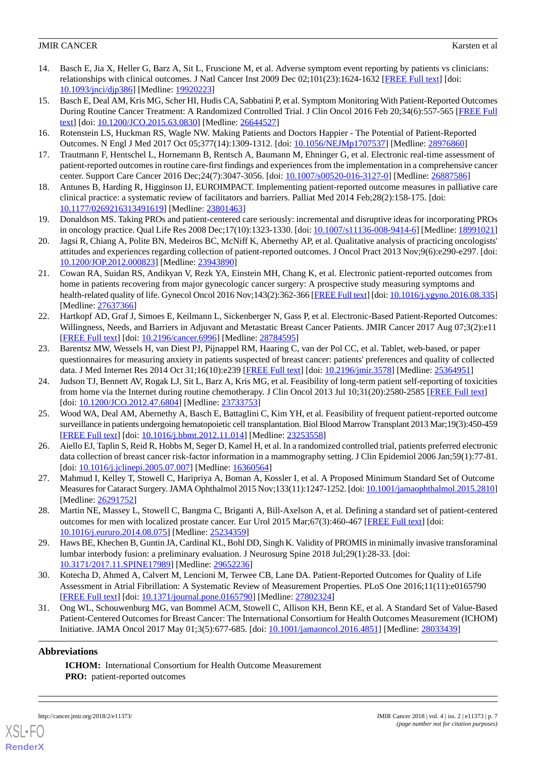- <span id="page-6-0"></span>14. Basch E, Jia X, Heller G, Barz A, Sit L, Fruscione M, et al. Adverse symptom event reporting by patients vs clinicians: relationships with clinical outcomes. J Natl Cancer Inst 2009 Dec 02;101(23):1624-1632 [[FREE Full text](http://europepmc.org/abstract/MED/19920223)] [doi: [10.1093/jnci/djp386](http://dx.doi.org/10.1093/jnci/djp386)] [Medline: [19920223](http://www.ncbi.nlm.nih.gov/entrez/query.fcgi?cmd=Retrieve&db=PubMed&list_uids=19920223&dopt=Abstract)]
- <span id="page-6-1"></span>15. Basch E, Deal AM, Kris MG, Scher HI, Hudis CA, Sabbatini P, et al. Symptom Monitoring With Patient-Reported Outcomes During Routine Cancer Treatment: A Randomized Controlled Trial. J Clin Oncol 2016 Feb 20;34(6):557-565 [[FREE Full](http://europepmc.org/abstract/MED/26644527) [text](http://europepmc.org/abstract/MED/26644527)] [doi: [10.1200/JCO.2015.63.0830](http://dx.doi.org/10.1200/JCO.2015.63.0830)] [Medline: [26644527\]](http://www.ncbi.nlm.nih.gov/entrez/query.fcgi?cmd=Retrieve&db=PubMed&list_uids=26644527&dopt=Abstract)
- <span id="page-6-2"></span>16. Rotenstein LS, Huckman RS, Wagle NW. Making Patients and Doctors Happier - The Potential of Patient-Reported Outcomes. N Engl J Med 2017 Oct 05;377(14):1309-1312. [doi: [10.1056/NEJMp1707537](http://dx.doi.org/10.1056/NEJMp1707537)] [Medline: [28976860\]](http://www.ncbi.nlm.nih.gov/entrez/query.fcgi?cmd=Retrieve&db=PubMed&list_uids=28976860&dopt=Abstract)
- <span id="page-6-3"></span>17. Trautmann F, Hentschel L, Hornemann B, Rentsch A, Baumann M, Ehninger G, et al. Electronic real-time assessment of patient-reported outcomes in routine care-first findings and experiences from the implementation in a comprehensive cancer center. Support Care Cancer 2016 Dec;24(7):3047-3056. [doi: [10.1007/s00520-016-3127-0\]](http://dx.doi.org/10.1007/s00520-016-3127-0) [Medline: [26887586](http://www.ncbi.nlm.nih.gov/entrez/query.fcgi?cmd=Retrieve&db=PubMed&list_uids=26887586&dopt=Abstract)]
- <span id="page-6-4"></span>18. Antunes B, Harding R, Higginson IJ, EUROIMPACT. Implementing patient-reported outcome measures in palliative care clinical practice: a systematic review of facilitators and barriers. Palliat Med 2014 Feb;28(2):158-175. [doi: [10.1177/0269216313491619\]](http://dx.doi.org/10.1177/0269216313491619) [Medline: [23801463\]](http://www.ncbi.nlm.nih.gov/entrez/query.fcgi?cmd=Retrieve&db=PubMed&list_uids=23801463&dopt=Abstract)
- 19. Donaldson MS. Taking PROs and patient-centered care seriously: incremental and disruptive ideas for incorporating PROs in oncology practice. Qual Life Res 2008 Dec;17(10):1323-1330. [doi: [10.1007/s11136-008-9414-6](http://dx.doi.org/10.1007/s11136-008-9414-6)] [Medline: [18991021](http://www.ncbi.nlm.nih.gov/entrez/query.fcgi?cmd=Retrieve&db=PubMed&list_uids=18991021&dopt=Abstract)]
- <span id="page-6-5"></span>20. Jagsi R, Chiang A, Polite BN, Medeiros BC, McNiff K, Abernethy AP, et al. Qualitative analysis of practicing oncologists' attitudes and experiences regarding collection of patient-reported outcomes. J Oncol Pract 2013 Nov;9(6):e290-e297. [doi: [10.1200/JOP.2012.000823](http://dx.doi.org/10.1200/JOP.2012.000823)] [Medline: [23943890](http://www.ncbi.nlm.nih.gov/entrez/query.fcgi?cmd=Retrieve&db=PubMed&list_uids=23943890&dopt=Abstract)]
- <span id="page-6-6"></span>21. Cowan RA, Suidan RS, Andikyan V, Rezk YA, Einstein MH, Chang K, et al. Electronic patient-reported outcomes from home in patients recovering from major gynecologic cancer surgery: A prospective study measuring symptoms and health-related quality of life. Gynecol Oncol 2016 Nov;143(2):362-366 [\[FREE Full text\]](http://europepmc.org/abstract/MED/27637366) [doi: [10.1016/j.ygyno.2016.08.335\]](http://dx.doi.org/10.1016/j.ygyno.2016.08.335) [Medline: [27637366](http://www.ncbi.nlm.nih.gov/entrez/query.fcgi?cmd=Retrieve&db=PubMed&list_uids=27637366&dopt=Abstract)]
- <span id="page-6-7"></span>22. Hartkopf AD, Graf J, Simoes E, Keilmann L, Sickenberger N, Gass P, et al. Electronic-Based Patient-Reported Outcomes: Willingness, Needs, and Barriers in Adjuvant and Metastatic Breast Cancer Patients. JMIR Cancer 2017 Aug 07;3(2):e11 [[FREE Full text](http://cancer.jmir.org/2017/2/e11/)] [doi: [10.2196/cancer.6996\]](http://dx.doi.org/10.2196/cancer.6996) [Medline: [28784595\]](http://www.ncbi.nlm.nih.gov/entrez/query.fcgi?cmd=Retrieve&db=PubMed&list_uids=28784595&dopt=Abstract)
- <span id="page-6-8"></span>23. Barentsz MW, Wessels H, van Diest PJ, Pijnappel RM, Haaring C, van der Pol CC, et al. Tablet, web-based, or paper questionnaires for measuring anxiety in patients suspected of breast cancer: patients' preferences and quality of collected data. J Med Internet Res 2014 Oct 31;16(10):e239 [\[FREE Full text\]](http://www.jmir.org/2014/10/e239/) [doi: [10.2196/jmir.3578\]](http://dx.doi.org/10.2196/jmir.3578) [Medline: [25364951\]](http://www.ncbi.nlm.nih.gov/entrez/query.fcgi?cmd=Retrieve&db=PubMed&list_uids=25364951&dopt=Abstract)
- <span id="page-6-9"></span>24. Judson TJ, Bennett AV, Rogak LJ, Sit L, Barz A, Kris MG, et al. Feasibility of long-term patient self-reporting of toxicities from home via the Internet during routine chemotherapy. J Clin Oncol 2013 Jul 10;31(20):2580-2585 [[FREE Full text](http://europepmc.org/abstract/MED/23733753)] [doi: [10.1200/JCO.2012.47.6804](http://dx.doi.org/10.1200/JCO.2012.47.6804)] [Medline: [23733753](http://www.ncbi.nlm.nih.gov/entrez/query.fcgi?cmd=Retrieve&db=PubMed&list_uids=23733753&dopt=Abstract)]
- <span id="page-6-10"></span>25. Wood WA, Deal AM, Abernethy A, Basch E, Battaglini C, Kim YH, et al. Feasibility of frequent patient-reported outcome surveillance in patients undergoing hematopoietic cell transplantation. Biol Blood Marrow Transplant 2013 Mar;19(3):450-459 [[FREE Full text](https://linkinghub.elsevier.com/retrieve/pii/S1083-8791(12)00522-8)] [doi: [10.1016/j.bbmt.2012.11.014](http://dx.doi.org/10.1016/j.bbmt.2012.11.014)] [Medline: [23253558\]](http://www.ncbi.nlm.nih.gov/entrez/query.fcgi?cmd=Retrieve&db=PubMed&list_uids=23253558&dopt=Abstract)
- <span id="page-6-11"></span>26. Aiello EJ, Taplin S, Reid R, Hobbs M, Seger D, Kamel H, et al. In a randomized controlled trial, patients preferred electronic data collection of breast cancer risk-factor information in a mammography setting. J Clin Epidemiol 2006 Jan;59(1):77-81. [doi: 10.1016/*j.jclinepi.2005.07.007*] [Medline: [16360564\]](http://www.ncbi.nlm.nih.gov/entrez/query.fcgi?cmd=Retrieve&db=PubMed&list_uids=16360564&dopt=Abstract)
- 27. Mahmud I, Kelley T, Stowell C, Haripriya A, Boman A, Kossler I, et al. A Proposed Minimum Standard Set of Outcome Measures for Cataract Surgery. JAMA Ophthalmol 2015 Nov;133(11):1247-1252. [doi: [10.1001/jamaophthalmol.2015.2810\]](http://dx.doi.org/10.1001/jamaophthalmol.2015.2810) [Medline: [26291752](http://www.ncbi.nlm.nih.gov/entrez/query.fcgi?cmd=Retrieve&db=PubMed&list_uids=26291752&dopt=Abstract)]
- <span id="page-6-12"></span>28. Martin NE, Massey L, Stowell C, Bangma C, Briganti A, Bill-Axelson A, et al. Defining a standard set of patient-centered outcomes for men with localized prostate cancer. Eur Urol 2015 Mar;67(3):460-467 [\[FREE Full text](https://linkinghub.elsevier.com/retrieve/pii/S0302-2838(14)00845-8)] [doi: [10.1016/j.eururo.2014.08.075\]](http://dx.doi.org/10.1016/j.eururo.2014.08.075) [Medline: [25234359\]](http://www.ncbi.nlm.nih.gov/entrez/query.fcgi?cmd=Retrieve&db=PubMed&list_uids=25234359&dopt=Abstract)
- <span id="page-6-13"></span>29. Haws BE, Khechen B, Guntin JA, Cardinal KL, Bohl DD, Singh K. Validity of PROMIS in minimally invasive transforaminal lumbar interbody fusion: a preliminary evaluation. J Neurosurg Spine 2018 Jul;29(1):28-33. [doi: [10.3171/2017.11.SPINE17989\]](http://dx.doi.org/10.3171/2017.11.SPINE17989) [Medline: [29652236](http://www.ncbi.nlm.nih.gov/entrez/query.fcgi?cmd=Retrieve&db=PubMed&list_uids=29652236&dopt=Abstract)]
- 30. Kotecha D, Ahmed A, Calvert M, Lencioni M, Terwee CB, Lane DA. Patient-Reported Outcomes for Quality of Life Assessment in Atrial Fibrillation: A Systematic Review of Measurement Properties. PLoS One 2016;11(11):e0165790 [[FREE Full text](http://dx.plos.org/10.1371/journal.pone.0165790)] [doi: [10.1371/journal.pone.0165790](http://dx.doi.org/10.1371/journal.pone.0165790)] [Medline: [27802324](http://www.ncbi.nlm.nih.gov/entrez/query.fcgi?cmd=Retrieve&db=PubMed&list_uids=27802324&dopt=Abstract)]
- 31. Ong WL, Schouwenburg MG, van Bommel ACM, Stowell C, Allison KH, Benn KE, et al. A Standard Set of Value-Based Patient-Centered Outcomes for Breast Cancer: The International Consortium for Health Outcomes Measurement (ICHOM) Initiative. JAMA Oncol 2017 May 01;3(5):677-685. [doi: [10.1001/jamaoncol.2016.4851](http://dx.doi.org/10.1001/jamaoncol.2016.4851)] [Medline: [28033439](http://www.ncbi.nlm.nih.gov/entrez/query.fcgi?cmd=Retrieve&db=PubMed&list_uids=28033439&dopt=Abstract)]

# **Abbreviations**

**ICHOM:** International Consortium for Health Outcome Measurement **PRO:** patient-reported outcomes



[XSL](http://www.w3.org/Style/XSL)•FO **[RenderX](http://www.renderx.com/)**